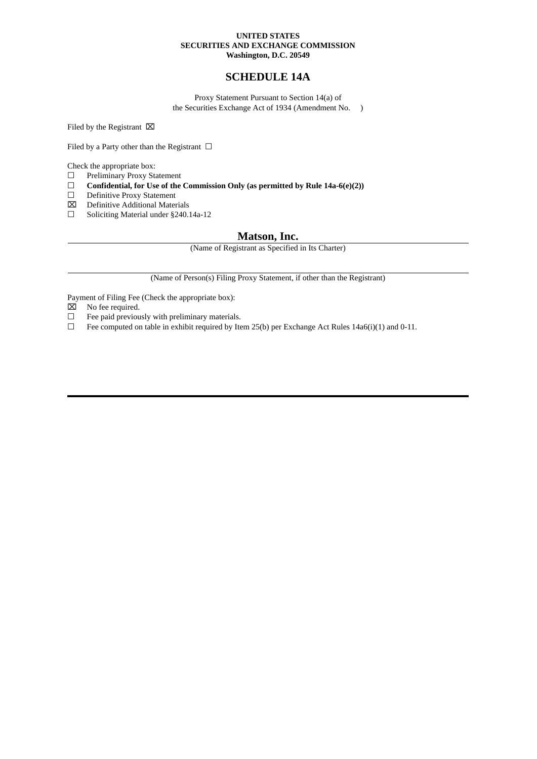## **UNITED STATES SECURITIES AND EXCHANGE COMMISSION Washington, D.C. 20549**

## **SCHEDULE 14A**

Proxy Statement Pursuant to Section 14(a) of the Securities Exchange Act of 1934 (Amendment No. )

Filed by the Registrant  $\boxtimes$ 

Filed by a Party other than the Registrant  $\Box$ 

Check the appropriate box:<br> $\square$  Preliminary Proxy Sta

- Preliminary Proxy Statement
- ☐ **Confidential, for Use of the Commission Only (as permitted by Rule 14a-6(e)(2))**
- Definitive Proxy Statement
- ⌧ Definitive Additional Materials
- ☐ Soliciting Material under §240.14a-12

## **Matson, Inc.**

(Name of Registrant as Specified in Its Charter)

(Name of Person(s) Filing Proxy Statement, if other than the Registrant)

Payment of Filing Fee (Check the appropriate box):

- $\boxtimes$  No fee required.
- ☐ Fee paid previously with preliminary materials.
- $\Box$  Fee computed on table in exhibit required by Item 25(b) per Exchange Act Rules 14a6(i)(1) and 0-11.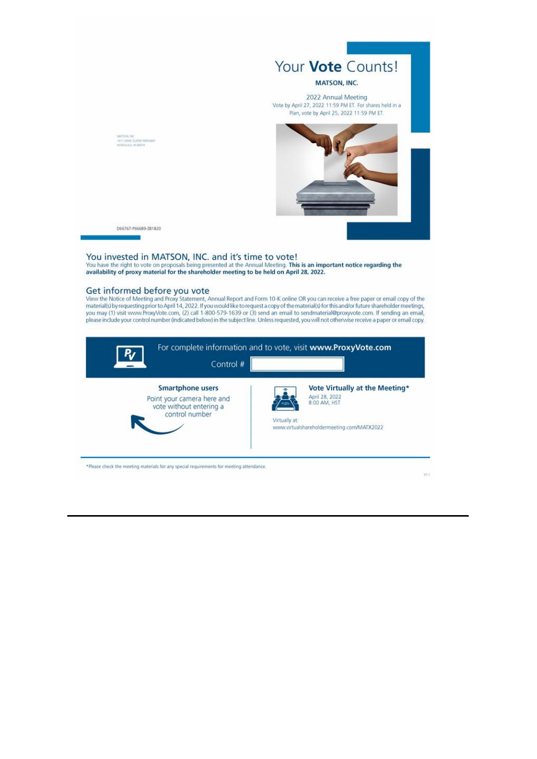